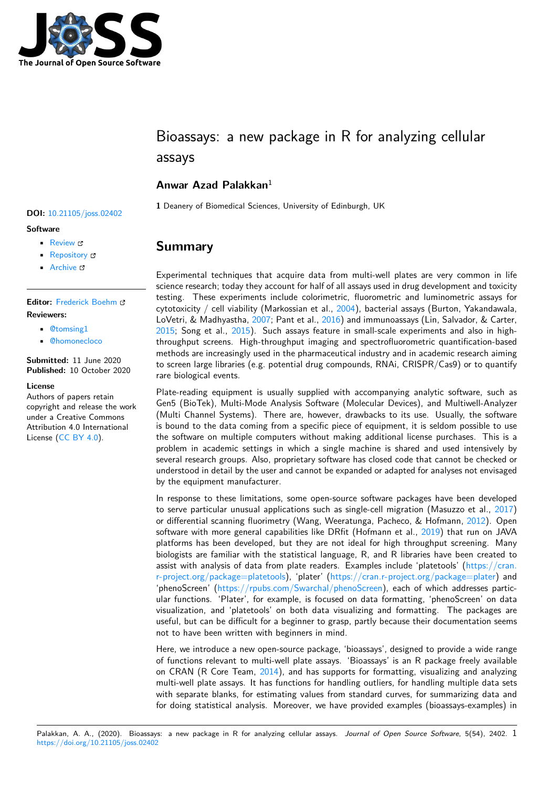

# Bioassays: a new package in R for analyzing cellular assays

### **Anwar Azad Palakkan**<sup>1</sup>

**1** Deanery of Biomedical Sciences, University of Edinburgh, UK

# **Summary**

Experimental techniques that acquire data from multi-well plates are very common in life science research; today they account for half of all assays used in drug development and toxicity testing. These experiments include colorimetric, fluorometric and luminometric assays for cytotoxicity / cell viability (Markossian et al.,  $2004$ ), bacterial assays (Burton, Yakandawala, LoVetri, & Madhyastha, 2007; Pant et al., 2016) and immunoassays (Lin, Salvador, & Carter, 2015; Song et al., 2015). Such assays feature in small-scale experiments and also in highthroughput screens. High-throughput imaging and spectrofluorometric quantification-based methods are increasingly used in the pharmace[utical](#page-3-0) industry and in academic research aiming to screen large libraries ([e.g. p](#page-3-1)otential dru[g com](#page-3-2)pounds, RNAi, CRISPR/Cas9) or to quantify [rare b](#page-3-3)iological even[ts.](#page-3-4)

Plate-reading equipment is usually supplied with accompanying analytic software, such as Gen5 (BioTek), Multi-Mode Analysis Software (Molecular Devices), and Multiwell-Analyzer (Multi Channel Systems). There are, however, drawbacks to its use. Usually, the software is bound to the data coming from a specific piece of equipment, it is seldom possible to use the software on multiple computers without making additional license purchases. This is a problem in academic settings in which a single machine is shared and used intensively by several research groups. Also, proprietary software has closed code that cannot be checked or understood in detail by the user and cannot be expanded or adapted for analyses not envisaged by the equipment manufacturer.

In response to these limitations, some open-source software packages have been developed to serve particular unusual applications such as single-cell migration (Masuzzo et al., 2017) or differential scanning fluorimetry (Wang, Weeratunga, Pacheco, & Hofmann, 2012). Open software with more general capabilities like DRfit (Hofmann et al., 2019) that run on JAVA platforms has been developed, but they are not ideal for high throughput screening. Many biologists are familiar with the statistical language, R, and R libraries have been crea[ted to](#page-3-5) assist with analysis of data from plate readers. Examples include 'platetools' ([https](#page-4-0)://cran. r-project.org/package=platetools), 'plater' (https://cran.r-project.[org/pa](#page-3-6)ckage=plater) and 'phenoScreen' (https://rpubs.com/Swarchal/phenoScreen), each of which addresses particular functions. 'Plater', for example, is focused on data formatting, 'phenoScreen' on data visualization, and 'platetools' on both data visualizing and formatting. The [packages are](https://cran.r-project.org/package=platetools) [useful, but can be difficult for a b](https://cran.r-project.org/package=platetools)eginner to [grasp, partly because their documentation s](https://cran.r-project.org/package=plater)eems not to have bee[n written with beginners in mind.](https://rpubs.com/Swarchal/phenoScreen)

Here, we introduce a new open-source package, 'bioassays', designed to provide a wide range of functions relevant to multi-well plate assays. 'Bioassays' is an R package freely available on CRAN (R Core Team,  $2014$ ), and has supports for formatting, visualizing and analyzing multi-well plate assays. It has functions for handling outliers, for handling multiple data sets with separate blanks, for estimating values from standard curves, for summarizing data and for doing statistical analysis. Moreover, we have provided examples (bioassays-examples) in

#### Palakkan, A. A., (2020). Bioassays: a new package in R for analyzing cellular assays. *Journal of Open Source Software*, 5(54), 2402. 1https://doi.org/10.21105/joss.02402

### **DOI:** 10.21105/joss.02402

#### **Software**

- Review &
- [Repository](https://doi.org/10.21105/joss.02402) &
- Archive

### **Editor:** [Frederick](https://github.com/anwarbio/bioassays) Boehm **Revie[wers:](https://doi.org/10.5281/zenodo.4075110)**

- @tomsing1
- @[homonecloco](https://fboehm.us)

**Submitted:** 11 June 2020 **Published:** [10 Oc](https://github.com/tomsing1)tober 2020

#### **Licen[se](https://github.com/homonecloco)**

Authors of papers retain copyright and release the work under a Creative Commons Attribution 4.0 International License (CC BY 4.0).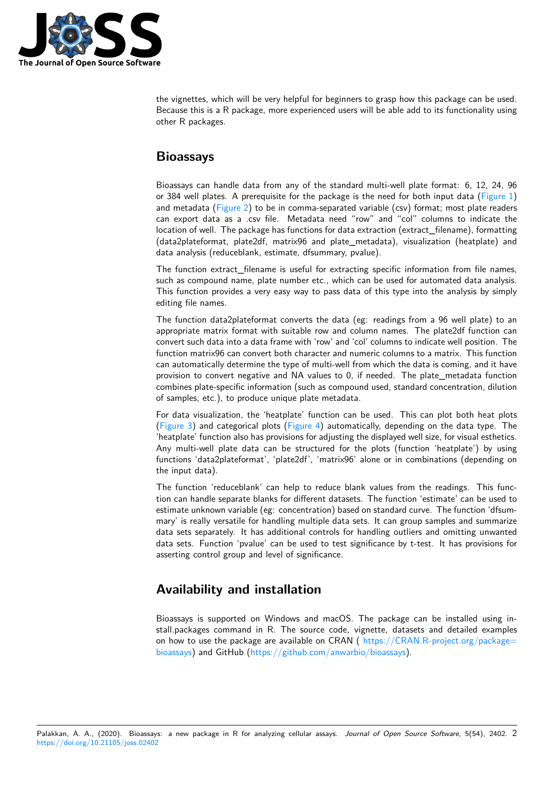

the vignettes, which will be very helpful for beginners to grasp how this package can be used. Because this is a R package, more experienced users will be able add to its functionality using other R packages.

### **Bioassays**

Bioassays can handle data from any of the standard multi-well plate format: 6, 12, 24, 96 or 384 well plates. A prerequisite for the package is the need for both input data (Figure 1) and metadata ( $Figure 2$ ) to be in comma-separated variable ( $csv$ ) format; most plate readers can export data as a .csv file. Metadata need "row" and "col" columns to indicate the location of well. The package has functions for data extraction (extract\_filename), formatting (data2plateformat, plate2df, matrix96 and plate\_metadata), visualization (heatp[late\) and](#page-2-0) data analysis (r[educebla](#page-2-1)nk, estimate, dfsummary, pvalue).

The function extract filename is useful for extracting specific information from file names, such as compound name, plate number etc., which can be used for automated data analysis. This function provides a very easy way to pass data of this type into the analysis by simply editing file names.

The function data2plateformat converts the data (eg: readings from a 96 well plate) to an appropriate matrix format with suitable row and column names. The plate2df function can convert such data into a data frame with 'row' and 'col' columns to indicate well position. The function matrix96 can convert both character and numeric columns to a matrix. This function can automatically determine the type of multi-well from which the data is coming, and it have provision to convert negative and NA values to 0, if needed. The plate\_metadata function combines plate-specific information (such as compound used, standard concentration, dilution of samples, etc.), to produce unique plate metadata.

For data visualization, the 'heatplate' function can be used. This can plot both heat plots (Figure 3) and categorical plots (Figure 4) automatically, depending on the data type. The 'heatplate' function also has provisions for adjusting the displayed well size, for visual esthetics. Any multi-well plate data can be structured for the plots (function 'heatplate') by using functions 'data2plateformat', 'plate2df', 'matrix96' alone or in combinations (depending on t[he input](#page-2-2) data).

The function 'reduceblank' can help to reduce blank values from the readings. This function can handle separate blanks for different datasets. The function 'estimate' can be used to estimate unknown variable (eg: concentration) based on standard curve. The function 'dfsummary' is really versatile for handling multiple data sets. It can group samples and summarize data sets separately. It has additional controls for handling outliers and omitting unwanted data sets. Function 'pvalue' can be used to test significance by t-test. It has provisions for asserting control group and level of significance.

# **Availability and installation**

Bioassays is supported on Windows and macOS. The package can be installed using install.packages command in R. The source code, vignette, datasets and detailed examples on how to use the package are available on CRAN ( https://CRAN.R-project.org/package= bioassays) and GitHub (https://github.com/anwarbio/bioassays).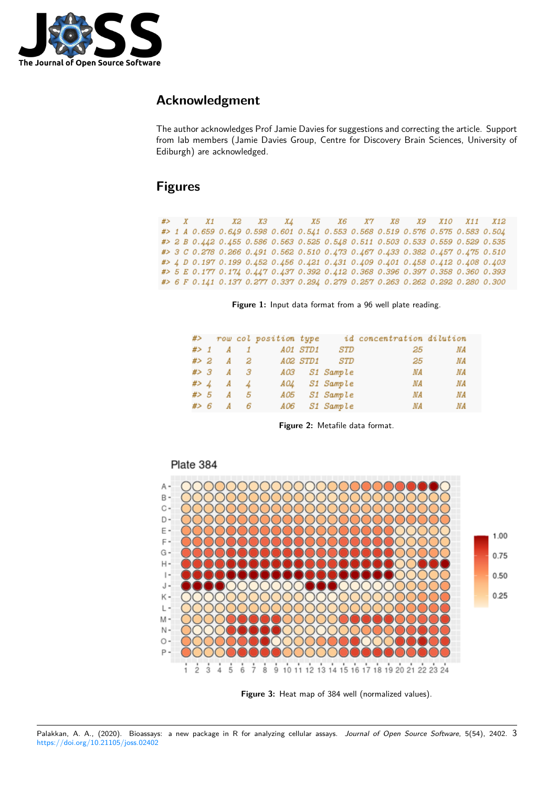

# **Acknowledgment**

The author acknowledges Prof Jamie Davies for suggestions and correcting the article. Support from lab members (Jamie Davies Group, Centre for Discovery Brain Sciences, University of Ediburgh) are acknowledged.

### **Figures**

<span id="page-2-0"></span>#>  $X$  $X1$ X2 X3 X4 X5 X6 **X7** Х8 X9 *X10*  $X11$ X12 #> 1 A 0.659 0.649 0.598 0.601 0.541 0.553 0.568 0.519 0.576 0.575 0.583 0.504 #> 2 B 0.442 0.455 0.586 0.563 0.525 0.548 0.511 0.503 0.533 0.559 0.529 0.535 #> 3 C 0.278 0.266 0.491 0.562 0.510 0.473 0.467 0.433 0.382 0.457 0.475 0.510 #> 4 D 0.197 0.199 0.452 0.456 0.421 0.431 0.409 0.401 0.458 0.412 0.408 0.403 #> 5 E 0.177 0.174 0.447 0.437 0.392 0.412 0.368 0.396 0.397 0.358 0.360 0.393 #> 6 F 0.141 0.137 0.277 0.337 0.294 0.279 0.257 0.263 0.262 0.292 0.280 0.300

**Figure 1:** Input data format from a 96 well plate reading.

<span id="page-2-1"></span>

|       |                  |             | #> row col position type |                 |               | id concentration dilution |    |
|-------|------------------|-------------|--------------------------|-----------------|---------------|---------------------------|----|
| # > 1 |                  | $A \quad 1$ |                          | <i>AO1 STD1</i> | STD           | 25                        | ΝA |
| #> 2  | A                | - 2         |                          | A02 STD1        | STD           | 25                        | ΝA |
|       | $# > 3 \qquad A$ | - 3         |                          |                 | A03 S1 Sample | ΜA                        | ΝA |
| #> 4  | A                |             |                          |                 | AO4 S1 Sample | ΝA                        | ΝA |
| # > 5 | А                | - 5         |                          |                 | A05 S1 Sample | ΝA                        | ΝA |
| #> 6  | А                | - 6         |                          |                 | A06 S1 Sample | ΝA                        | ΝA |

**Figure 2:** Metafile data format.

<span id="page-2-2"></span>

**Figure 3:** Heat map of 384 well (normalized values).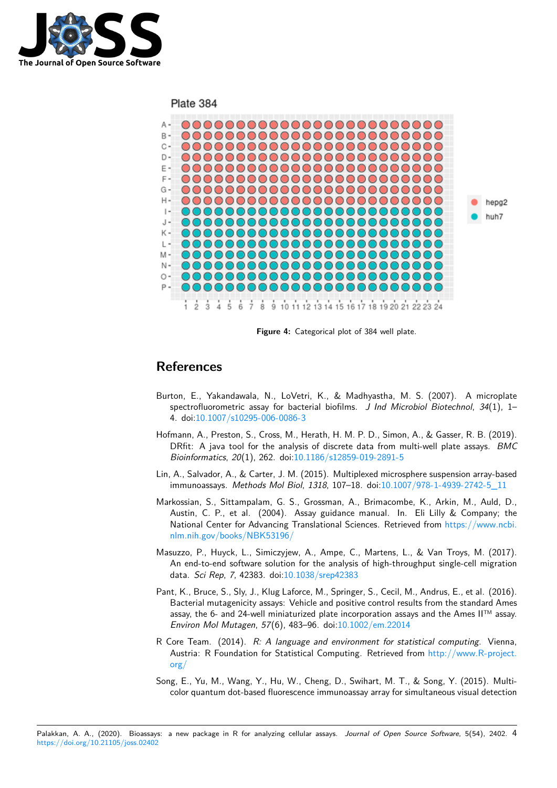



**Figure 4:** Categorical plot of 384 well plate.

# **References**

- Burton, E., Yakandawala, N., LoVetri, K., & Madhyastha, M. S. (2007). A microplate spectrofluorometric assay for bacterial biofilms. *J Ind Microbiol Biotechnol*, *34*(1), 1– 4. doi:10.1007/s10295-006-0086-3
- <span id="page-3-1"></span>Hofmann, A., Preston, S., Cross, M., Herath, H. M. P. D., Simon, A., & Gasser, R. B. (2019). DRfit: A java tool for the analysis of discrete data from multi-well plate assays. *BMC Bioinformatics*, *20*[\(1\), 262. doi:10.](https://doi.org/10.1007/s10295-006-0086-3)1186/s12859-019-2891-5
- Lin, A., Salvador, A., & Carter, J. M. (2015). Multiplexed microsphere suspension array-based immunoassays. *Methods Mol Biol*, *1318*, 107–18. doi:10.1007/978-1-4939-2742-5\_11
- <span id="page-3-6"></span>Markossian, S., Sittampalam, G. [S., Grossman, A., Brimacomb](https://doi.org/10.1186/s12859-019-2891-5)e, K., Arkin, M., Auld, D., Austin, C. P., et al. (2004). Assay guidance manual. In. Eli Lilly & Company; the National Center for Advancing Translational Sciences. Retrieved from [https://www.nc](https://doi.org/10.1007/978-1-4939-2742-5_11)bi. nlm.nih.gov/books/NBK53196/
- <span id="page-3-3"></span><span id="page-3-0"></span>Masuzzo, P., Huyck, L., Simiczyjew, A., Ampe, C., Martens, L., & Van Troys, M. (2017). An end-to-end software solution for the analysis of high-throughput si[ngle-cell migration](https://www.ncbi.nlm.nih.gov/books/NBK53196/) data. *Sci Rep*, *7*[, 42383. doi:10.](https://www.ncbi.nlm.nih.gov/books/NBK53196/)1038/srep42383
- <span id="page-3-5"></span>Pant, K., Bruce, S., Sly, J., Klug Laforce, M., Springer, S., Cecil, M., Andrus, E., et al. (2016). Bacterial mutagenicity assays: Vehicle and positive control results from the standard Ames assay, the 6- and 24-well miniaturized plate incorporation assays and the Ames II™ assay. *Environ Mol Mutagen*, *57*(6)[, 483–96. doi:10.10](https://doi.org/10.1038/srep42383)02/em.22014
- <span id="page-3-2"></span>R Core Team. (2014). *R: A language and environment for statistical computing*. Vienna, Austria: R Foundation for Statistical Computing. Retrieved from http://www.R-project. org/
- <span id="page-3-4"></span>Song, E., Yu, M., Wang, Y., Hu, W., Cheng, [D., Swihart, M. T.,](https://doi.org/10.1002/em.22014) & Song, Y. (2015). Multicolor quantum dot-based fluorescence immunoassay array for simul[taneous visual detection](http://www.R-project.org/)